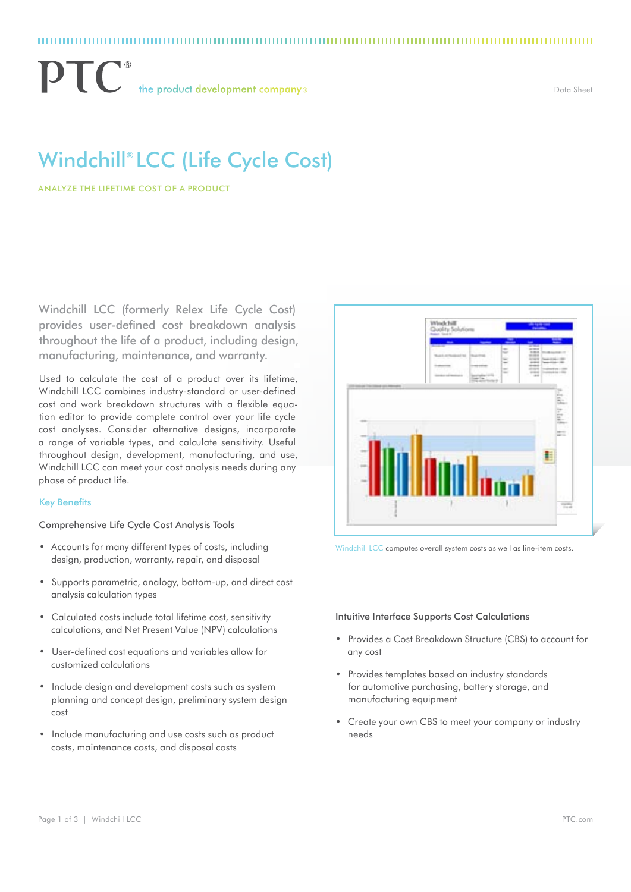# Windchill® LCC (Life Cycle Cost)

Analyze the Lifetime Cost of a Product

Windchill LCC (formerly Relex Life Cycle Cost) provides user-defined cost breakdown analysis throughout the life of a product, including design, manufacturing, maintenance, and warranty.

Used to calculate the cost of a product over its lifetime, Windchill LCC combines industry-standard or user-defined cost and work breakdown structures with a flexible equation editor to provide complete control over your life cycle cost analyses. Consider alternative designs, incorporate a range of variable types, and calculate sensitivity. Useful throughout design, development, manufacturing, and use, Windchill LCC can meet your cost analysis needs during any phase of product life.

#### Key Benefits

#### Comprehensive Life Cycle Cost Analysis Tools

- Accounts for many different types of costs, including design, production, warranty, repair, and disposal
- • Supports parametric, analogy, bottom-up, and direct cost analysis calculation types
- • Calculated costs include total lifetime cost, sensitivity calculations, and Net Present Value (NPV) calculations
- • User-defined cost equations and variables allow for customized calculations
- Include design and development costs such as system planning and concept design, preliminary system design cost
- Include manufacturing and use costs such as product costs, maintenance costs, and disposal costs



Windchill LCC computes overall system costs as well as line-item costs.

#### Intuitive Interface Supports Cost Calculations

- • Provides a Cost Breakdown Structure (CBS) to account for any cost
- • Provides templates based on industry standards for automotive purchasing, battery storage, and manufacturing equipment
- • Create your own CBS to meet your company or industry needs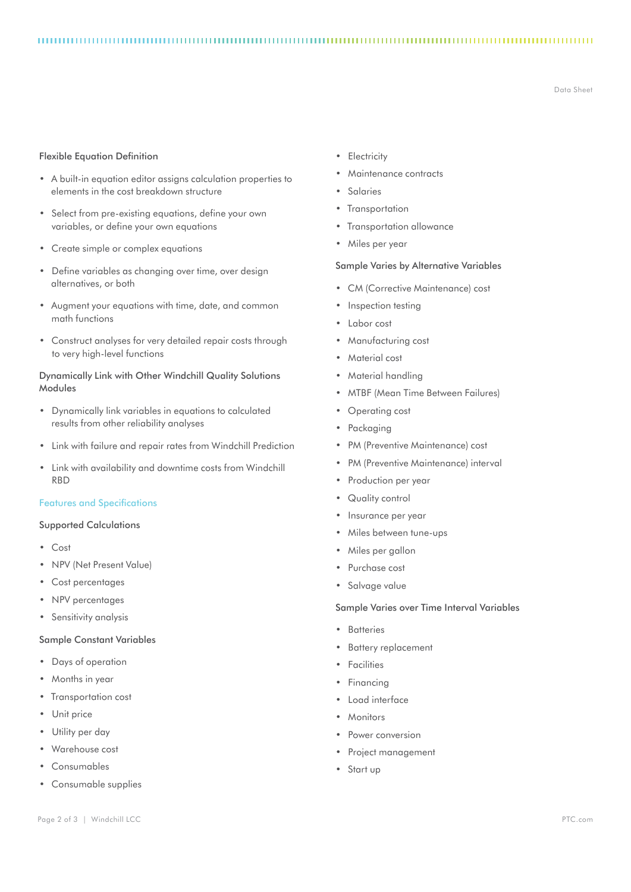#### 

Data Sheet

# Flexible Equation Definition

- • A built-in equation editor assigns calculation properties to elements in the cost breakdown structure
- Select from pre-existing equations, define your own variables, or define your own equations
- • Create simple or complex equations
- Define variables as changing over time, over design alternatives, or both
- • Augment your equations with time, date, and common math functions
- • Construct analyses for very detailed repair costs through to very high-level functions

# Dynamically Link with Other Windchill Quality Solutions Modules

- • Dynamically link variables in equations to calculated results from other reliability analyses
- • Link with failure and repair rates from Windchill Prediction
- • Link with availability and downtime costs from Windchill RBD

# Features and Specifications

# Supported Calculations

- • Cost
- • NPV (Net Present Value)
- Cost percentages
- NPV percentages
- • Sensitivity analysis

# Sample Constant Variables

- • Days of operation
- Months in year
- • Transportation cost
- Unit price
- Utility per day
- • Warehouse cost
- • Consumables
- Consumable supplies
- • Electricity
- Maintenance contracts
- **Salaries**
- Transportation
- **Transportation allowance**
- • Miles per year

#### Sample Varies by Alternative Variables

- CM (Corrective Maintenance) cost
- Inspection testing
- Labor cost
- • Manufacturing cost
- • Material cost
- Material handling
- • MTBF (Mean Time Between Failures)
- Operating cost
- Packaging
- • PM (Preventive Maintenance) cost
- • PM (Preventive Maintenance) interval
- • Production per year
- Quality control
- • Insurance per year
- • Miles between tune-ups
- • Miles per gallon
- • Purchase cost
- • Salvage value

# Sample Varies over Time Interval Variables

- • Batteries
- **Battery replacement**
- • Facilities
- • Financing
- • Load interface
- • Monitors
- Power conversion
- Project management
- • Start up